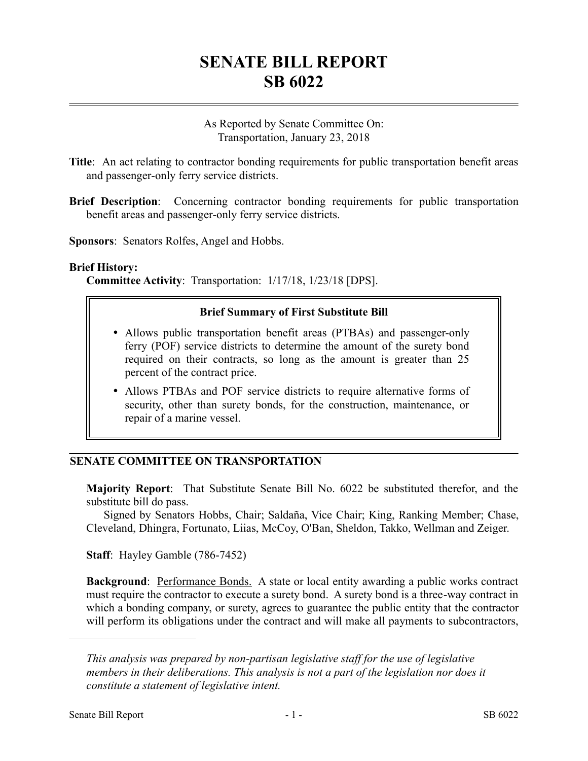# **SENATE BILL REPORT SB 6022**

As Reported by Senate Committee On: Transportation, January 23, 2018

- **Title**: An act relating to contractor bonding requirements for public transportation benefit areas and passenger-only ferry service districts.
- **Brief Description**: Concerning contractor bonding requirements for public transportation benefit areas and passenger-only ferry service districts.

**Sponsors**: Senators Rolfes, Angel and Hobbs.

#### **Brief History:**

**Committee Activity**: Transportation: 1/17/18, 1/23/18 [DPS].

## **Brief Summary of First Substitute Bill**

- Allows public transportation benefit areas (PTBAs) and passenger-only ferry (POF) service districts to determine the amount of the surety bond required on their contracts, so long as the amount is greater than 25 percent of the contract price.
- Allows PTBAs and POF service districts to require alternative forms of security, other than surety bonds, for the construction, maintenance, or repair of a marine vessel.

# **SENATE COMMITTEE ON TRANSPORTATION**

**Majority Report**: That Substitute Senate Bill No. 6022 be substituted therefor, and the substitute bill do pass.

Signed by Senators Hobbs, Chair; Saldaña, Vice Chair; King, Ranking Member; Chase, Cleveland, Dhingra, Fortunato, Liias, McCoy, O'Ban, Sheldon, Takko, Wellman and Zeiger.

**Staff**: Hayley Gamble (786-7452)

**Background:** Performance Bonds. A state or local entity awarding a public works contract must require the contractor to execute a surety bond. A surety bond is a three-way contract in which a bonding company, or surety, agrees to guarantee the public entity that the contractor will perform its obligations under the contract and will make all payments to subcontractors,

––––––––––––––––––––––

*This analysis was prepared by non-partisan legislative staff for the use of legislative members in their deliberations. This analysis is not a part of the legislation nor does it constitute a statement of legislative intent.*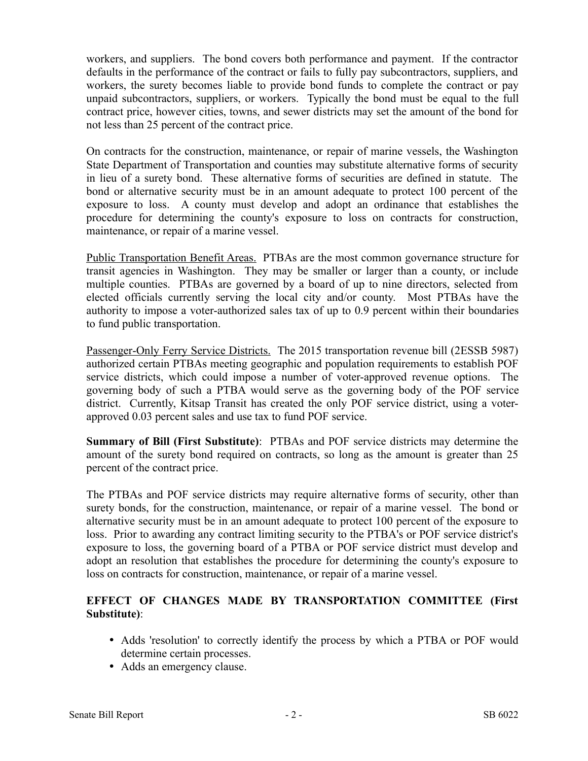workers, and suppliers. The bond covers both performance and payment. If the contractor defaults in the performance of the contract or fails to fully pay subcontractors, suppliers, and workers, the surety becomes liable to provide bond funds to complete the contract or pay unpaid subcontractors, suppliers, or workers. Typically the bond must be equal to the full contract price, however cities, towns, and sewer districts may set the amount of the bond for not less than 25 percent of the contract price.

On contracts for the construction, maintenance, or repair of marine vessels, the Washington State Department of Transportation and counties may substitute alternative forms of security in lieu of a surety bond. These alternative forms of securities are defined in statute. The bond or alternative security must be in an amount adequate to protect 100 percent of the exposure to loss. A county must develop and adopt an ordinance that establishes the procedure for determining the county's exposure to loss on contracts for construction, maintenance, or repair of a marine vessel.

Public Transportation Benefit Areas. PTBAs are the most common governance structure for transit agencies in Washington. They may be smaller or larger than a county, or include multiple counties. PTBAs are governed by a board of up to nine directors, selected from elected officials currently serving the local city and/or county. Most PTBAs have the authority to impose a voter-authorized sales tax of up to 0.9 percent within their boundaries to fund public transportation.

Passenger-Only Ferry Service Districts. The 2015 transportation revenue bill (2ESSB 5987) authorized certain PTBAs meeting geographic and population requirements to establish POF service districts, which could impose a number of voter-approved revenue options. The governing body of such a PTBA would serve as the governing body of the POF service district. Currently, Kitsap Transit has created the only POF service district, using a voterapproved 0.03 percent sales and use tax to fund POF service.

**Summary of Bill (First Substitute)**: PTBAs and POF service districts may determine the amount of the surety bond required on contracts, so long as the amount is greater than 25 percent of the contract price.

The PTBAs and POF service districts may require alternative forms of security, other than surety bonds, for the construction, maintenance, or repair of a marine vessel. The bond or alternative security must be in an amount adequate to protect 100 percent of the exposure to loss. Prior to awarding any contract limiting security to the PTBA's or POF service district's exposure to loss, the governing board of a PTBA or POF service district must develop and adopt an resolution that establishes the procedure for determining the county's exposure to loss on contracts for construction, maintenance, or repair of a marine vessel.

# **EFFECT OF CHANGES MADE BY TRANSPORTATION COMMITTEE (First Substitute)**:

- Adds 'resolution' to correctly identify the process by which a PTBA or POF would determine certain processes.
- Adds an emergency clause.